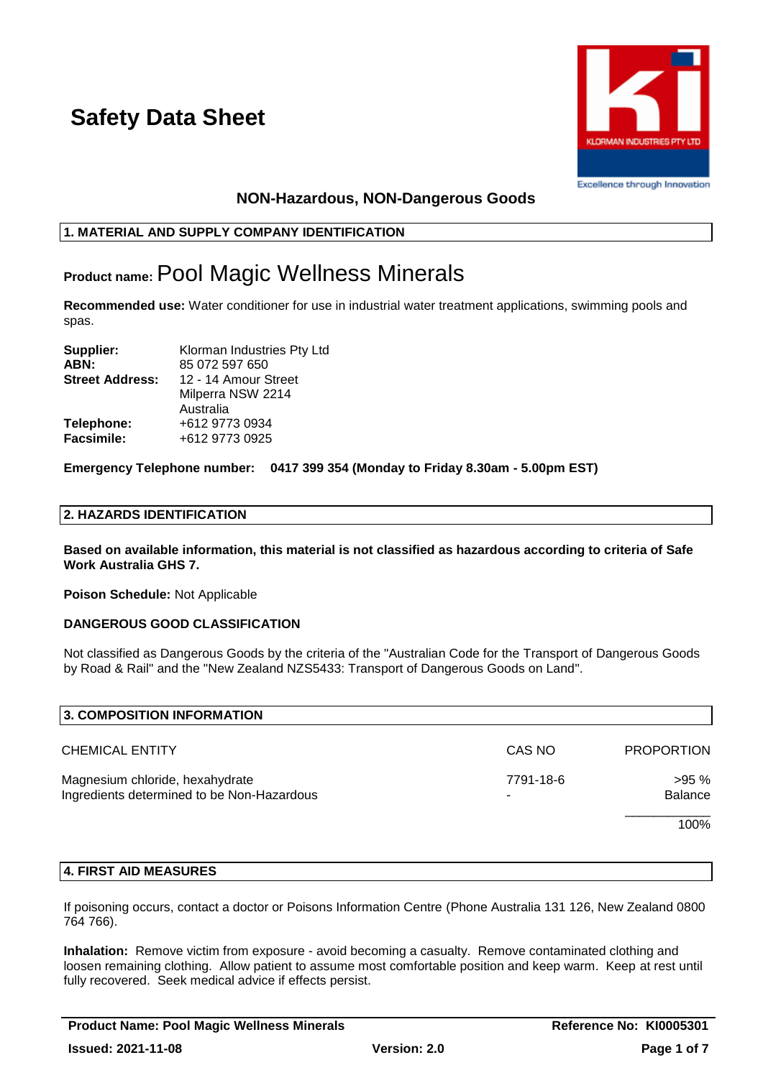

## **NON-Hazardous, NON-Dangerous Goods**

## **1. MATERIAL AND SUPPLY COMPANY IDENTIFICATION**

## **Product name:**Pool Magic Wellness Minerals

**Recommended use:** Water conditioner for use in industrial water treatment applications, swimming pools and spas.

| Supplier:              | Klorman Industries Pty Ltd |
|------------------------|----------------------------|
| ABN:                   | 85 072 597 650             |
| <b>Street Address:</b> | 12 - 14 Amour Street       |
|                        | Milperra NSW 2214          |
|                        | Australia                  |
| Telephone:             | +612 9773 0934             |
| <b>Facsimile:</b>      | +612 9773 0925             |
|                        |                            |

**Emergency Telephone number: 0417 399 354 (Monday to Friday 8.30am - 5.00pm EST)**

## **2. HAZARDS IDENTIFICATION**

**Based on available information, this material is not classified as hazardous according to criteria of Safe Work Australia GHS 7.**

**Poison Schedule:** Not Applicable

## **DANGEROUS GOOD CLASSIFICATION**

Not classified as Dangerous Goods by the criteria of the "Australian Code for the Transport of Dangerous Goods by Road & Rail" and the "New Zealand NZS5433: Transport of Dangerous Goods on Land".

| 3. COMPOSITION INFORMATION                                                    |           |                        |
|-------------------------------------------------------------------------------|-----------|------------------------|
| <b>CHEMICAL ENTITY</b>                                                        | CAS NO    | <b>PROPORTION</b>      |
| Magnesium chloride, hexahydrate<br>Ingredients determined to be Non-Hazardous | 7791-18-6 | >95%<br><b>Balance</b> |
|                                                                               |           | 100%                   |

### **4. FIRST AID MEASURES**

If poisoning occurs, contact a doctor or Poisons Information Centre (Phone Australia 131 126, New Zealand 0800 764 766).

**Inhalation:** Remove victim from exposure - avoid becoming a casualty. Remove contaminated clothing and loosen remaining clothing. Allow patient to assume most comfortable position and keep warm. Keep at rest until fully recovered. Seek medical advice if effects persist.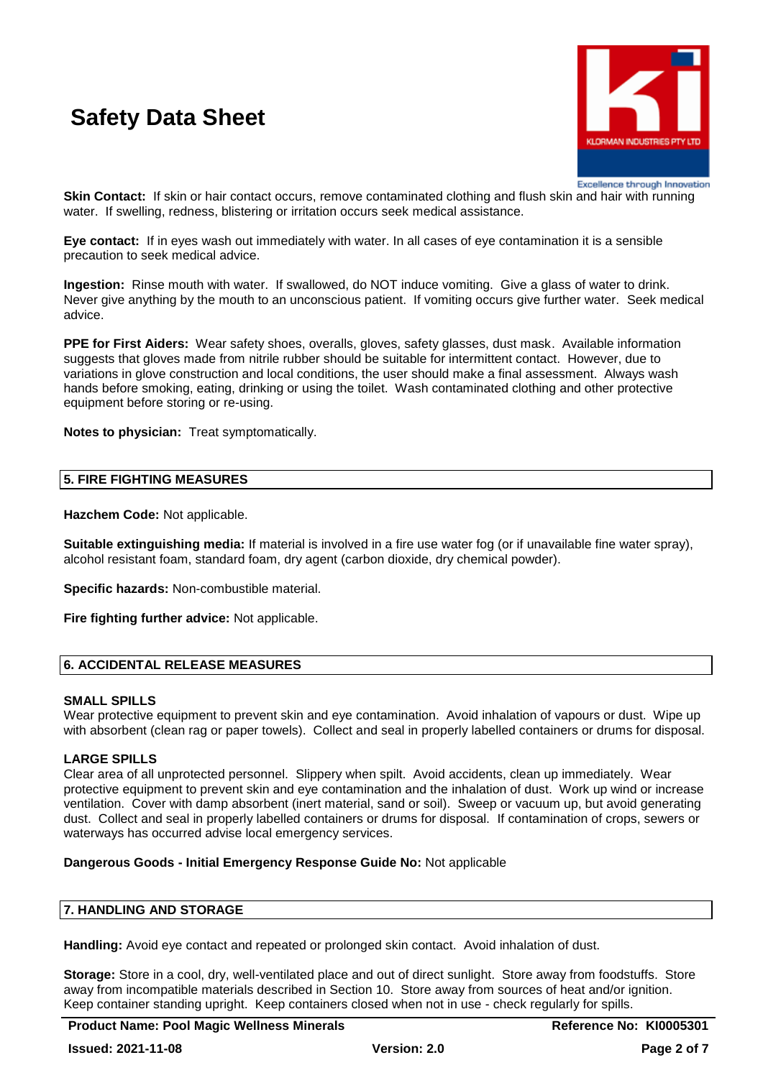

Excellence through Innovation

**Skin Contact:** If skin or hair contact occurs, remove contaminated clothing and flush skin and hair with running water. If swelling, redness, blistering or irritation occurs seek medical assistance.

**Eye contact:** If in eyes wash out immediately with water. In all cases of eye contamination it is a sensible precaution to seek medical advice.

**Ingestion:** Rinse mouth with water. If swallowed, do NOT induce vomiting. Give a glass of water to drink. Never give anything by the mouth to an unconscious patient. If vomiting occurs give further water. Seek medical advice.

**PPE for First Aiders:** Wear safety shoes, overalls, gloves, safety glasses, dust mask. Available information suggests that gloves made from nitrile rubber should be suitable for intermittent contact. However, due to variations in glove construction and local conditions, the user should make a final assessment. Always wash hands before smoking, eating, drinking or using the toilet. Wash contaminated clothing and other protective equipment before storing or re-using.

**Notes to physician:** Treat symptomatically.

## **5. FIRE FIGHTING MEASURES**

**Hazchem Code:** Not applicable.

**Suitable extinguishing media:** If material is involved in a fire use water fog (or if unavailable fine water spray), alcohol resistant foam, standard foam, dry agent (carbon dioxide, dry chemical powder).

**Specific hazards:** Non-combustible material.

**Fire fighting further advice:** Not applicable.

## **6. ACCIDENTAL RELEASE MEASURES**

### **SMALL SPILLS**

Wear protective equipment to prevent skin and eye contamination. Avoid inhalation of vapours or dust. Wipe up with absorbent (clean rag or paper towels). Collect and seal in properly labelled containers or drums for disposal.

### **LARGE SPILLS**

Clear area of all unprotected personnel. Slippery when spilt. Avoid accidents, clean up immediately. Wear protective equipment to prevent skin and eye contamination and the inhalation of dust. Work up wind or increase ventilation. Cover with damp absorbent (inert material, sand or soil). Sweep or vacuum up, but avoid generating dust. Collect and seal in properly labelled containers or drums for disposal. If contamination of crops, sewers or waterways has occurred advise local emergency services.

### **Dangerous Goods - Initial Emergency Response Guide No:** Not applicable

#### **7. HANDLING AND STORAGE**

**Handling:** Avoid eye contact and repeated or prolonged skin contact. Avoid inhalation of dust.

**Storage:** Store in a cool, dry, well-ventilated place and out of direct sunlight. Store away from foodstuffs. Store away from incompatible materials described in Section 10. Store away from sources of heat and/or ignition. Keep container standing upright. Keep containers closed when not in use - check regularly for spills.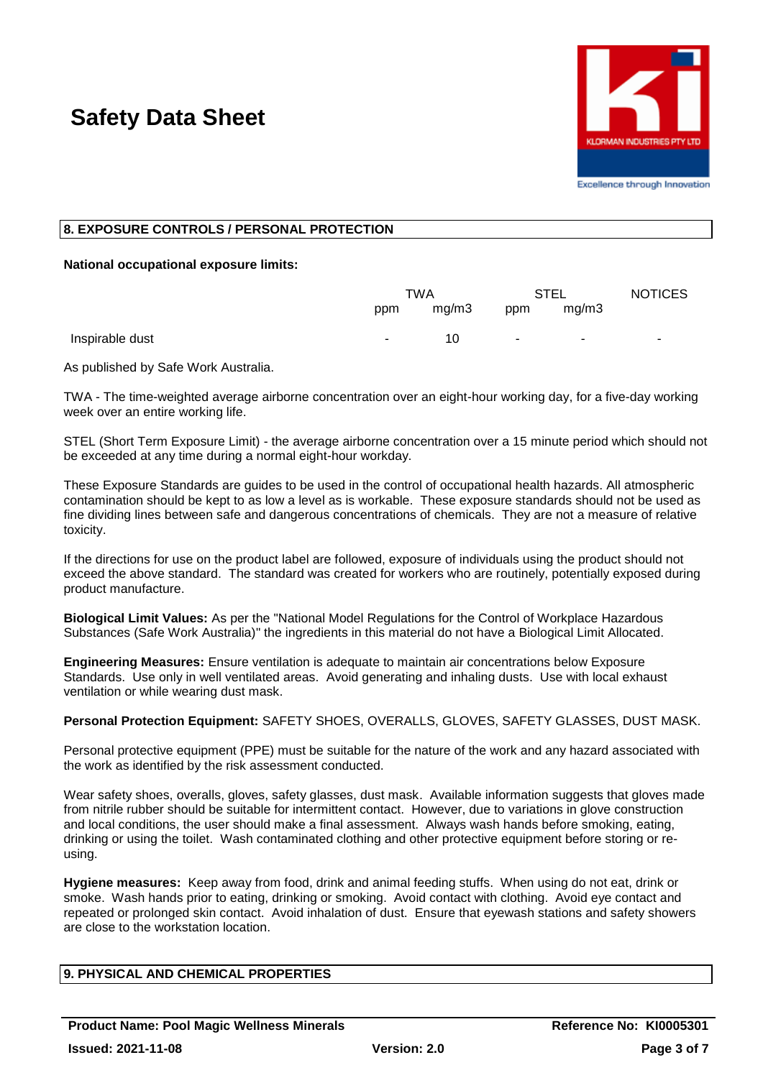

## **8. EXPOSURE CONTROLS / PERSONAL PROTECTION**

### **National occupational exposure limits:**

|                 | TWA |       | STEL   |        | <b>NOTICES</b> |
|-----------------|-----|-------|--------|--------|----------------|
|                 | ppm | mg/m3 | ppm    | mg/m3  |                |
| Inspirable dust | ٠   | 10    | $\sim$ | $\sim$ | ۰.             |

As published by Safe Work Australia.

TWA - The time-weighted average airborne concentration over an eight-hour working day, for a five-day working week over an entire working life.

STEL (Short Term Exposure Limit) - the average airborne concentration over a 15 minute period which should not be exceeded at any time during a normal eight-hour workday.

These Exposure Standards are guides to be used in the control of occupational health hazards. All atmospheric contamination should be kept to as low a level as is workable. These exposure standards should not be used as fine dividing lines between safe and dangerous concentrations of chemicals. They are not a measure of relative toxicity.

If the directions for use on the product label are followed, exposure of individuals using the product should not exceed the above standard. The standard was created for workers who are routinely, potentially exposed during product manufacture.

**Biological Limit Values:** As per the "National Model Regulations for the Control of Workplace Hazardous Substances (Safe Work Australia)" the ingredients in this material do not have a Biological Limit Allocated.

**Engineering Measures:** Ensure ventilation is adequate to maintain air concentrations below Exposure Standards. Use only in well ventilated areas. Avoid generating and inhaling dusts. Use with local exhaust ventilation or while wearing dust mask.

**Personal Protection Equipment:** SAFETY SHOES, OVERALLS, GLOVES, SAFETY GLASSES, DUST MASK.

Personal protective equipment (PPE) must be suitable for the nature of the work and any hazard associated with the work as identified by the risk assessment conducted.

Wear safety shoes, overalls, gloves, safety glasses, dust mask. Available information suggests that gloves made from nitrile rubber should be suitable for intermittent contact. However, due to variations in glove construction and local conditions, the user should make a final assessment. Always wash hands before smoking, eating, drinking or using the toilet. Wash contaminated clothing and other protective equipment before storing or reusing.

**Hygiene measures:** Keep away from food, drink and animal feeding stuffs. When using do not eat, drink or smoke. Wash hands prior to eating, drinking or smoking. Avoid contact with clothing. Avoid eye contact and repeated or prolonged skin contact. Avoid inhalation of dust. Ensure that eyewash stations and safety showers are close to the workstation location.

## **9. PHYSICAL AND CHEMICAL PROPERTIES**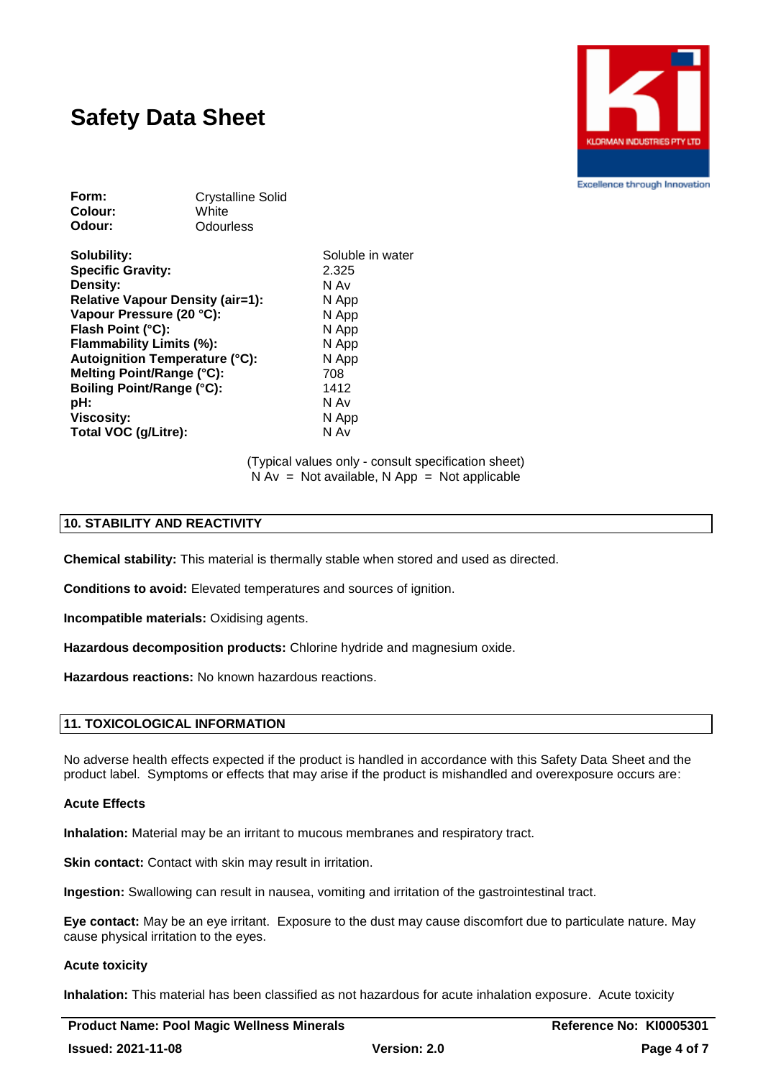

**Excellence through Innovation** 

| <b>Crystalline Solid</b> |  |  |  |
|--------------------------|--|--|--|
| White                    |  |  |  |
| Odourless                |  |  |  |
|                          |  |  |  |

**Solubility:** Soluble in water **Specific Gravity:** 2.325 **Density:** N Av **Relative Vapour Density (air=1):** N App **Vapour Pressure (20 °C):** N App **Flash Point (°C):** N App **Flammability Limits (%):** N App **Autoignition Temperature (°C):** N App **Melting Point/Range (°C):** 708 **Boiling Point/Range (°C):** 1412 **pH:** N Av **Viscosity:** N App **Total VOC (g/Litre):** N Av

(Typical values only - consult specification sheet)  $N Av = Not available, N App = Not applicable$ 

#### **10. STABILITY AND REACTIVITY**

**Chemical stability:** This material is thermally stable when stored and used as directed.

**Conditions to avoid:** Elevated temperatures and sources of ignition.

**Incompatible materials:** Oxidising agents.

**Hazardous decomposition products:** Chlorine hydride and magnesium oxide.

**Hazardous reactions:** No known hazardous reactions.

## **11. TOXICOLOGICAL INFORMATION**

No adverse health effects expected if the product is handled in accordance with this Safety Data Sheet and the product label. Symptoms or effects that may arise if the product is mishandled and overexposure occurs are:

#### **Acute Effects**

**Inhalation:** Material may be an irritant to mucous membranes and respiratory tract.

**Skin contact:** Contact with skin may result in irritation.

**Ingestion:** Swallowing can result in nausea, vomiting and irritation of the gastrointestinal tract.

**Eye contact:** May be an eye irritant. Exposure to the dust may cause discomfort due to particulate nature. May cause physical irritation to the eyes.

#### **Acute toxicity**

**Inhalation:** This material has been classified as not hazardous for acute inhalation exposure. Acute toxicity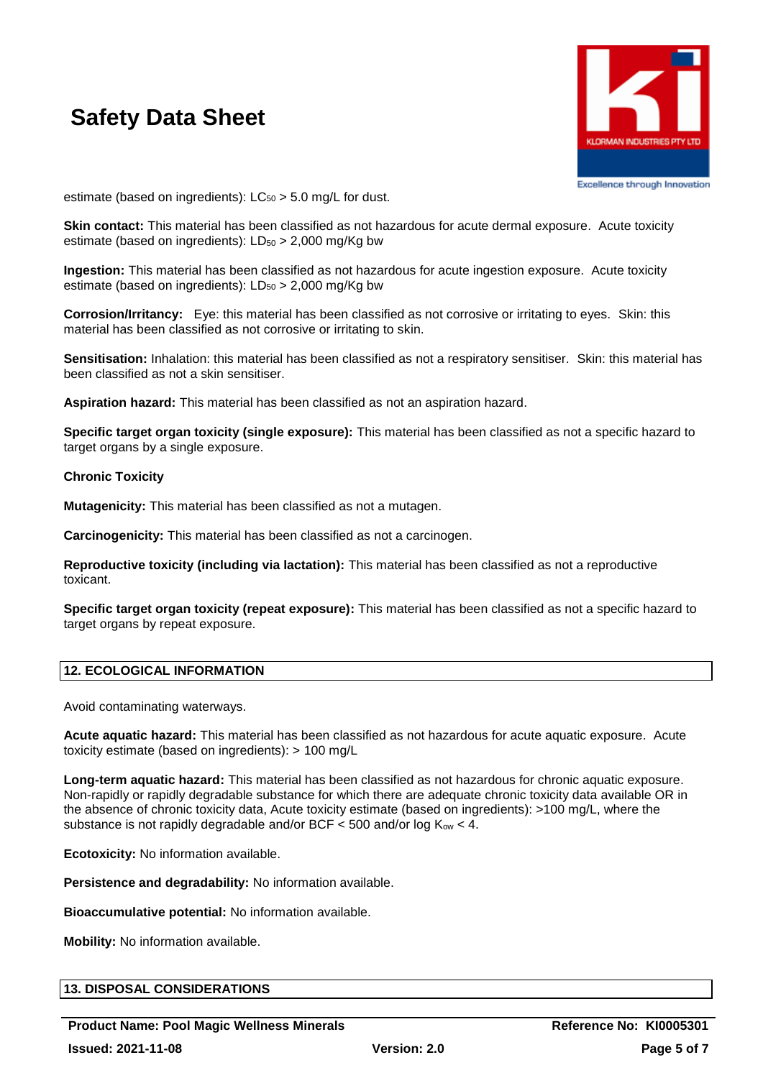

Excellence through Innovation

estimate (based on ingredients):  $LC_{50} > 5.0$  mg/L for dust.

**Skin contact:** This material has been classified as not hazardous for acute dermal exposure. Acute toxicity estimate (based on ingredients):  $LD_{50} > 2,000$  mg/Kg bw

**Ingestion:** This material has been classified as not hazardous for acute ingestion exposure. Acute toxicity estimate (based on ingredients):  $LD_{50} > 2,000$  mg/Kg bw

**Corrosion/Irritancy:** Eye: this material has been classified as not corrosive or irritating to eyes. Skin: this material has been classified as not corrosive or irritating to skin.

**Sensitisation:** Inhalation: this material has been classified as not a respiratory sensitiser. Skin: this material has been classified as not a skin sensitiser.

**Aspiration hazard:** This material has been classified as not an aspiration hazard.

**Specific target organ toxicity (single exposure):** This material has been classified as not a specific hazard to target organs by a single exposure.

## **Chronic Toxicity**

**Mutagenicity:** This material has been classified as not a mutagen.

**Carcinogenicity:** This material has been classified as not a carcinogen.

**Reproductive toxicity (including via lactation):** This material has been classified as not a reproductive toxicant.

**Specific target organ toxicity (repeat exposure):** This material has been classified as not a specific hazard to target organs by repeat exposure.

## **12. ECOLOGICAL INFORMATION**

Avoid contaminating waterways.

**Acute aquatic hazard:** This material has been classified as not hazardous for acute aquatic exposure. Acute toxicity estimate (based on ingredients): > 100 mg/L

**Long-term aquatic hazard:** This material has been classified as not hazardous for chronic aquatic exposure. Non-rapidly or rapidly degradable substance for which there are adequate chronic toxicity data available OR in the absence of chronic toxicity data, Acute toxicity estimate (based on ingredients): >100 mg/L, where the substance is not rapidly degradable and/or BCF  $<$  500 and/or log Kow  $<$  4.

**Ecotoxicity:** No information available.

**Persistence and degradability:** No information available.

**Bioaccumulative potential:** No information available.

**Mobility:** No information available.

## **13. DISPOSAL CONSIDERATIONS**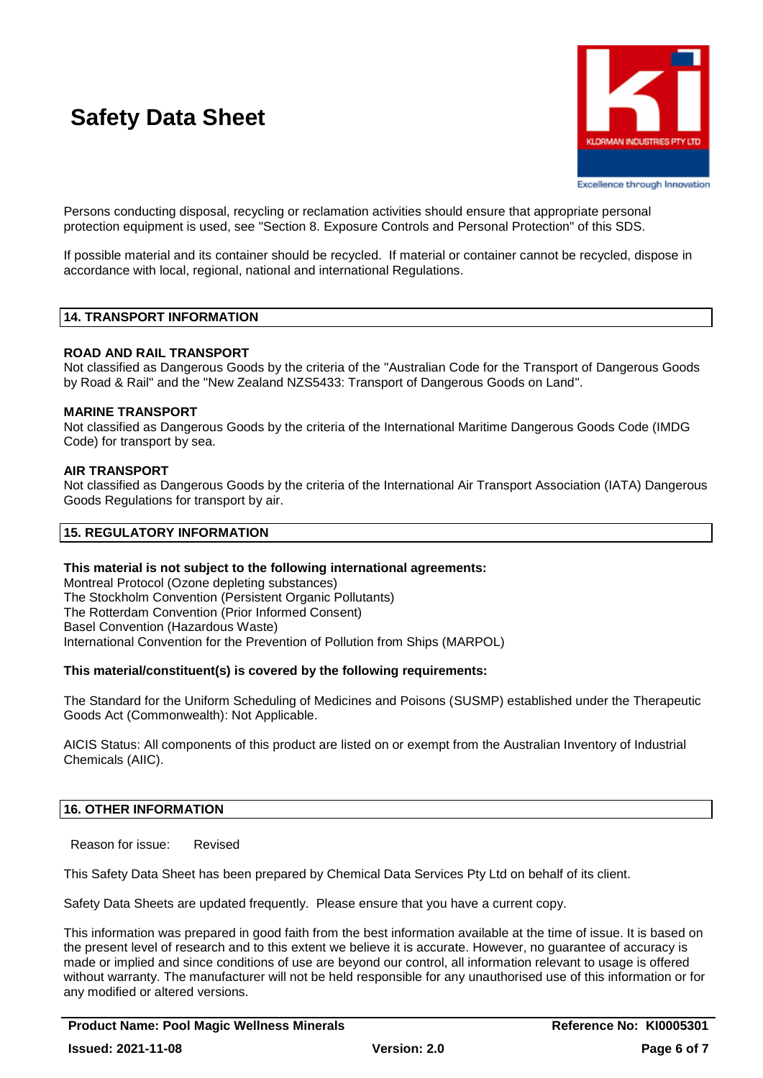

**Excellence through Innovation** 

Persons conducting disposal, recycling or reclamation activities should ensure that appropriate personal protection equipment is used, see "Section 8. Exposure Controls and Personal Protection" of this SDS.

If possible material and its container should be recycled. If material or container cannot be recycled, dispose in accordance with local, regional, national and international Regulations.

## **14. TRANSPORT INFORMATION**

## **ROAD AND RAIL TRANSPORT**

Not classified as Dangerous Goods by the criteria of the "Australian Code for the Transport of Dangerous Goods by Road & Rail" and the "New Zealand NZS5433: Transport of Dangerous Goods on Land".

## **MARINE TRANSPORT**

Not classified as Dangerous Goods by the criteria of the International Maritime Dangerous Goods Code (IMDG Code) for transport by sea.

## **AIR TRANSPORT**

Not classified as Dangerous Goods by the criteria of the International Air Transport Association (IATA) Dangerous Goods Regulations for transport by air.

## **15. REGULATORY INFORMATION**

### **This material is not subject to the following international agreements:**

Montreal Protocol (Ozone depleting substances) The Stockholm Convention (Persistent Organic Pollutants) The Rotterdam Convention (Prior Informed Consent) Basel Convention (Hazardous Waste) International Convention for the Prevention of Pollution from Ships (MARPOL)

### **This material/constituent(s) is covered by the following requirements:**

The Standard for the Uniform Scheduling of Medicines and Poisons (SUSMP) established under the Therapeutic Goods Act (Commonwealth): Not Applicable.

AICIS Status: All components of this product are listed on or exempt from the Australian Inventory of Industrial Chemicals (AIIC).

## **16. OTHER INFORMATION**

Reason for issue: Revised

This Safety Data Sheet has been prepared by Chemical Data Services Pty Ltd on behalf of its client.

Safety Data Sheets are updated frequently. Please ensure that you have a current copy.

This information was prepared in good faith from the best information available at the time of issue. It is based on the present level of research and to this extent we believe it is accurate. However, no guarantee of accuracy is made or implied and since conditions of use are beyond our control, all information relevant to usage is offered without warranty. The manufacturer will not be held responsible for any unauthorised use of this information or for any modified or altered versions.